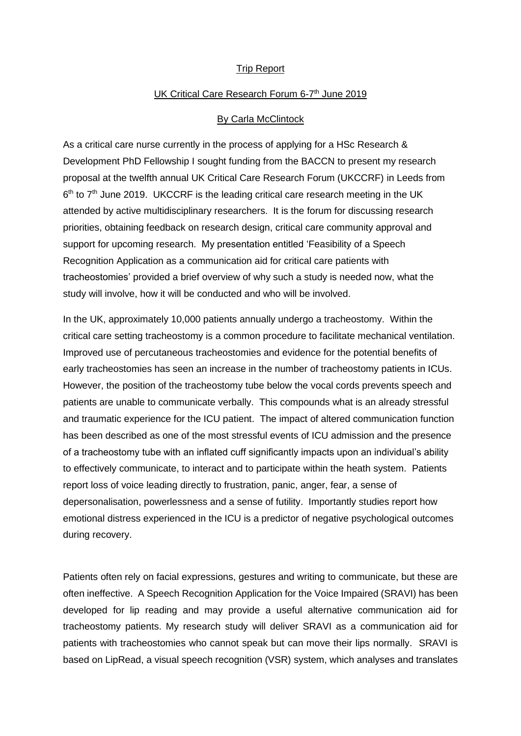## Trip Report

## UK Critical Care Research Forum 6-7<sup>th</sup> June 2019

## By Carla McClintock

As a critical care nurse currently in the process of applying for a HSc Research & Development PhD Fellowship I sought funding from the BACCN to present my research proposal at the twelfth annual UK Critical Care Research Forum (UKCCRF) in Leeds from 6<sup>th</sup> to 7<sup>th</sup> June 2019. UKCCRF is the leading critical care research meeting in the UK attended by active multidisciplinary researchers. It is the forum for discussing research priorities, obtaining feedback on research design, critical care community approval and support for upcoming research. My presentation entitled 'Feasibility of a Speech Recognition Application as a communication aid for critical care patients with tracheostomies' provided a brief overview of why such a study is needed now, what the study will involve, how it will be conducted and who will be involved.

In the UK, approximately 10,000 patients annually undergo a tracheostomy. Within the critical care setting tracheostomy is a common procedure to facilitate mechanical ventilation. Improved use of percutaneous tracheostomies and evidence for the potential benefits of early tracheostomies has seen an increase in the number of tracheostomy patients in ICUs. However, the position of the tracheostomy tube below the vocal cords prevents speech and patients are unable to communicate verbally. This compounds what is an already stressful and traumatic experience for the ICU patient.The impact of altered communication function has been described as one of the most stressful events of ICU admission and the presence of a tracheostomy tube with an inflated cuff significantly impacts upon an individual's ability to effectively communicate, to interact and to participate within the heath system. Patients report loss of voice leading directly to frustration, panic, anger, fear, a sense of depersonalisation, powerlessness and a sense of futility. Importantly studies report how emotional distress experienced in the ICU is a predictor of negative psychological outcomes during recovery.

Patients often rely on facial expressions, gestures and writing to communicate, but these are often ineffective. A Speech Recognition Application for the Voice Impaired (SRAVI) has been developed for lip reading and may provide a useful alternative communication aid for tracheostomy patients. My research study will deliver SRAVI as a communication aid for patients with tracheostomies who cannot speak but can move their lips normally. SRAVI is based on LipRead, a visual speech recognition (VSR) system, which analyses and translates